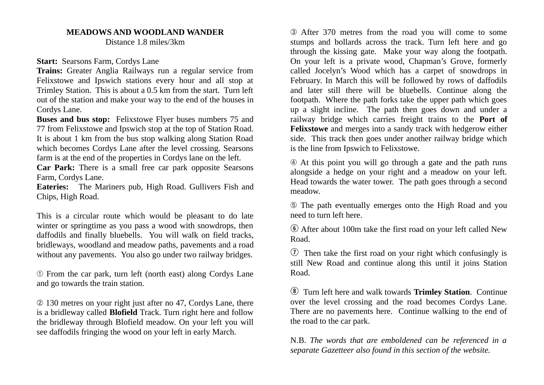## **MEADOWS AND WOODLAND WANDER**

Distance 1.8 miles/3km

## **Start: Searsons Farm, Cordys Lane**

**Trains:** Greater Anglia Railways run a regular service from Felixstowe and Ipswich stations every hour and all stop at Trimley Station. This is about a 0.5 km from the start. Turn left out of the station and make your way to the end of the houses in Cordys Lane.

**Buses and bus stop:** Felixstowe Flyer buses numbers 75 and 77 from Felixstowe and Ipswich stop at the top of Station Road. It is about 1 km from the bus stop walking along Station Road which becomes Cordys Lane after the level crossing. Searsons farm is at the end of the properties in Cordys lane on the left.

**Car Park:** There is a small free car park opposite Searsons Farm, Cordys Lane.

**Eateries:** The Mariners pub, High Road. Gullivers Fish and Chips, High Road.

This is a circular route which would be pleasant to do late winter or springtime as you pass a wood with snowdrops, then daffodils and finally bluebells. You will walk on field tracks, bridleways, woodland and meadow paths, pavements and a road without any pavements. You also go under two railway bridges.

➀ From the car park, turn left (north east) along Cordys Lane and go towards the train station.

➁ 130 metres on your right just after no 47, Cordys Lane, there is a bridleway called **Blofield** Track. Turn right here and follow the bridleway through Blofield meadow. On your left you will see daffodils fringing the wood on your left in early March.

➂ After 370 metres from the road you will come to some stumps and bollards across the track. Turn left here and go through the kissing gate. Make your way along the footpath. On your left is a private wood, Chapman's Grove, formerly called Jocelyn's Wood which has a carpet of snowdrops in February. In March this will be followed by rows of daffodils and later still there will be bluebells. Continue along the footpath. Where the path forks take the upper path which goes up a slight incline. The path then goes down and under a railway bridge which carries freight trains to the **Port of Felixstowe** and merges into a sandy track with hedgerow either side. This track then goes under another railway bridge which is the line from Ipswich to Felixstowe.

➃ At this point you will go through a gate and the path runs alongside a hedge on your right and a meadow on your left. Head towards the water tower. The path goes through a second meadow.

➄ The path eventually emerges onto the High Road and you need to turn left here.

y After about 100m take the first road on your left called New Road.

 $\Omega$  Then take the first road on your right which confusingly is still New Road and continue along this until it joins Station Road.

i Turn left here and walk towards **Trimley Station**. Continue over the level crossing and the road becomes Cordys Lane. There are no pavements here. Continue walking to the end of the road to the car park.

N.B. *The words that are emboldened can be referenced in a separate Gazetteer also found in this section of the website.*